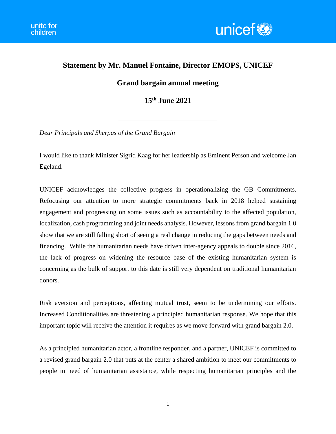

## **Statement by Mr. Manuel Fontaine, Director EMOPS, UNICEF**

## **Grand bargain annual meeting**

**15th June 2021**

\_\_\_\_\_\_\_\_\_\_\_\_\_\_\_\_\_\_\_\_\_\_\_\_\_\_\_\_\_\_

*Dear Principals and Sherpas of the Grand Bargain*

I would like to thank Minister Sigrid Kaag for her leadership as Eminent Person and welcome Jan Egeland.

UNICEF acknowledges the collective progress in operationalizing the GB Commitments. Refocusing our attention to more strategic commitments back in 2018 helped sustaining engagement and progressing on some issues such as accountability to the affected population, localization, cash programming and joint needs analysis. However, lessons from grand bargain 1.0 show that we are still falling short of seeing a real change in reducing the gaps between needs and financing. While the humanitarian needs have driven inter-agency appeals to double since 2016, the lack of progress on widening the resource base of the existing humanitarian system is concerning as the bulk of support to this date is still very dependent on traditional humanitarian donors.

Risk aversion and perceptions, affecting mutual trust, seem to be undermining our efforts. Increased Conditionalities are threatening a principled humanitarian response. We hope that this important topic will receive the attention it requires as we move forward with grand bargain 2.0.

As a principled humanitarian actor, a frontline responder, and a partner, UNICEF is committed to a revised grand bargain 2.0 that puts at the center a shared ambition to meet our commitments to people in need of humanitarian assistance, while respecting humanitarian principles and the